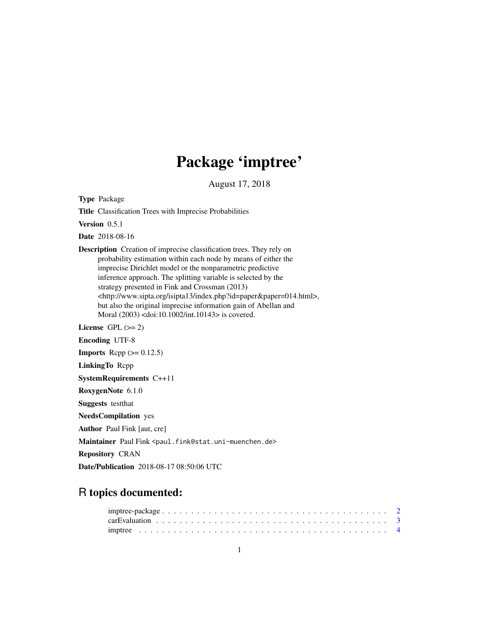# Package 'imptree'

August 17, 2018

<span id="page-0-0"></span>Type Package

Title Classification Trees with Imprecise Probabilities

Version 0.5.1

Date 2018-08-16

Description Creation of imprecise classification trees. They rely on probability estimation within each node by means of either the imprecise Dirichlet model or the nonparametric predictive inference approach. The splitting variable is selected by the strategy presented in Fink and Crossman (2013) <http://www.sipta.org/isipta13/index.php?id=paper&paper=014.html>, but also the original imprecise information gain of Abellan and Moral (2003) <doi:10.1002/int.10143> is covered.

License GPL  $(>= 2)$ 

Encoding UTF-8

**Imports** Rcpp  $(>= 0.12.5)$ 

LinkingTo Rcpp

SystemRequirements C++11

RoxygenNote 6.1.0

Suggests testthat

NeedsCompilation yes

Author Paul Fink [aut, cre]

Maintainer Paul Fink <paul.fink@stat.uni-muenchen.de>

Repository CRAN

Date/Publication 2018-08-17 08:50:06 UTC

# R topics documented: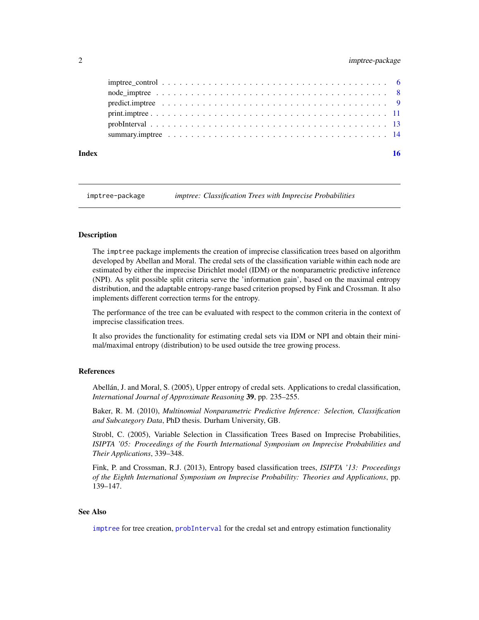# <span id="page-1-0"></span>2 imptree-package

| Index | 16 |
|-------|----|
|       |    |
|       |    |
|       |    |
|       |    |
|       |    |
|       |    |

imptree-package *imptree: Classification Trees with Imprecise Probabilities*

#### Description

The imptree package implements the creation of imprecise classification trees based on algorithm developed by Abellan and Moral. The credal sets of the classification variable within each node are estimated by either the imprecise Dirichlet model (IDM) or the nonparametric predictive inference (NPI). As split possible split criteria serve the 'information gain', based on the maximal entropy distribution, and the adaptable entropy-range based criterion propsed by Fink and Crossman. It also implements different correction terms for the entropy.

The performance of the tree can be evaluated with respect to the common criteria in the context of imprecise classification trees.

It also provides the functionality for estimating credal sets via IDM or NPI and obtain their minimal/maximal entropy (distribution) to be used outside the tree growing process.

# References

Abellán, J. and Moral, S. (2005), Upper entropy of credal sets. Applications to credal classification, *International Journal of Approximate Reasoning* 39, pp. 235–255.

Baker, R. M. (2010), *Multinomial Nonparametric Predictive Inference: Selection, Classification and Subcategory Data*, PhD thesis. Durham University, GB.

Strobl, C. (2005), Variable Selection in Classification Trees Based on Imprecise Probabilities, *ISIPTA '05: Proceedings of the Fourth International Symposium on Imprecise Probabilities and Their Applications*, 339–348.

Fink, P. and Crossman, R.J. (2013), Entropy based classification trees, *ISIPTA '13: Proceedings of the Eighth International Symposium on Imprecise Probability: Theories and Applications*, pp. 139–147.

# See Also

[imptree](#page-3-1) for tree creation, [probInterval](#page-12-1) for the credal set and entropy estimation functionality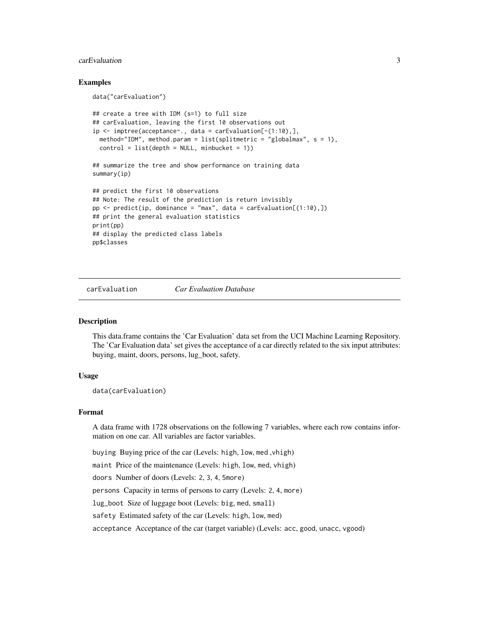# <span id="page-2-0"></span>carEvaluation 3

# Examples

data("carEvaluation")

```
## create a tree with IDM (s=1) to full size
## carEvaluation, leaving the first 10 observations out
ip <- imptree(acceptance~., data = carEvaluation[-(1:10),],
 method="IDM", method.param = list(splitmetric = "globalmax", s = 1),
 control = list(depth = NULL, minbucket = 1))
## summarize the tree and show performance on training data
summary(ip)
## predict the first 10 observations
## Note: The result of the prediction is return invisibly
pp \le- predict(ip, dominance = "max", data = carEvaluation[(1:10),])
## print the general evaluation statistics
print(pp)
## display the predicted class labels
pp$classes
```
carEvaluation *Car Evaluation Database*

#### **Description**

This data.frame contains the 'Car Evaluation' data set from the UCI Machine Learning Repository. The 'Car Evaluation data' set gives the acceptance of a car directly related to the six input attributes: buying, maint, doors, persons, lug\_boot, safety.

#### Usage

data(carEvaluation)

#### Format

A data frame with 1728 observations on the following 7 variables, where each row contains information on one car. All variables are factor variables.

buying Buying price of the car (Levels: high, low, med ,vhigh)

maint Price of the maintenance (Levels: high, low, med, vhigh)

doors Number of doors (Levels: 2, 3, 4, 5more)

persons Capacity in terms of persons to carry (Levels: 2, 4, more)

lug\_boot Size of luggage boot (Levels: big, med, small)

safety Estimated safety of the car (Levels: high, low, med)

acceptance Acceptance of the car (target variable) (Levels: acc, good, unacc, vgood)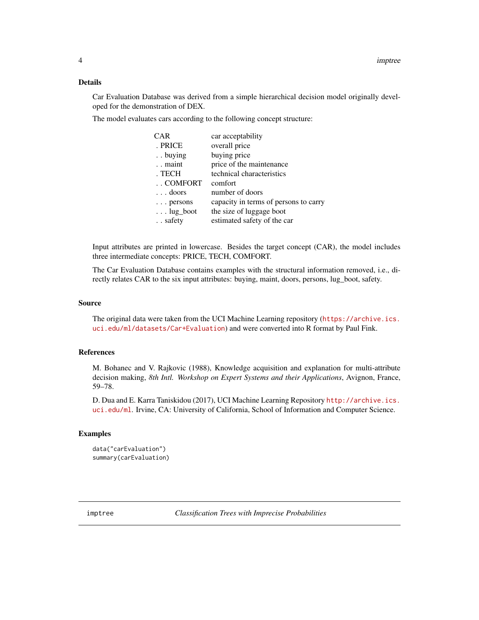# <span id="page-3-0"></span>Details

Car Evaluation Database was derived from a simple hierarchical decision model originally developed for the demonstration of DEX.

The model evaluates cars according to the following concept structure:

| <b>CAR</b>        | car acceptability                     |
|-------------------|---------------------------------------|
| . PRICE           | overall price                         |
| . . buying        | buying price                          |
| . . maint         | price of the maintenance              |
| . TECH            | technical characteristics             |
| COMFORT           | comfort                               |
| $\ldots$ doors    | number of doors                       |
| $\ldots$ persons  | capacity in terms of persons to carry |
| $\ldots$ lug_boot | the size of luggage boot              |
| . . safety        | estimated safety of the car           |

Input attributes are printed in lowercase. Besides the target concept (CAR), the model includes three intermediate concepts: PRICE, TECH, COMFORT.

The Car Evaluation Database contains examples with the structural information removed, i.e., directly relates CAR to the six input attributes: buying, maint, doors, persons, lug\_boot, safety.

#### Source

The original data were taken from the UCI Machine Learning repository ([https://archive.ics.](https://archive.ics.uci.edu/ml/datasets/Car+Evaluation) [uci.edu/ml/datasets/Car+Evaluation](https://archive.ics.uci.edu/ml/datasets/Car+Evaluation)) and were converted into R format by Paul Fink.

# References

M. Bohanec and V. Rajkovic (1988), Knowledge acquisition and explanation for multi-attribute decision making, *8th Intl. Workshop on Expert Systems and their Applications*, Avignon, France, 59–78.

D. Dua and E. Karra Taniskidou (2017), UCI Machine Learning Repository [http://archive.ics.](http://archive.ics.uci.edu/ml) [uci.edu/ml](http://archive.ics.uci.edu/ml). Irvine, CA: University of California, School of Information and Computer Science.

# Examples

```
data("carEvaluation")
summary(carEvaluation)
```
<span id="page-3-1"></span>imptree *Classification Trees with Imprecise Probabilities*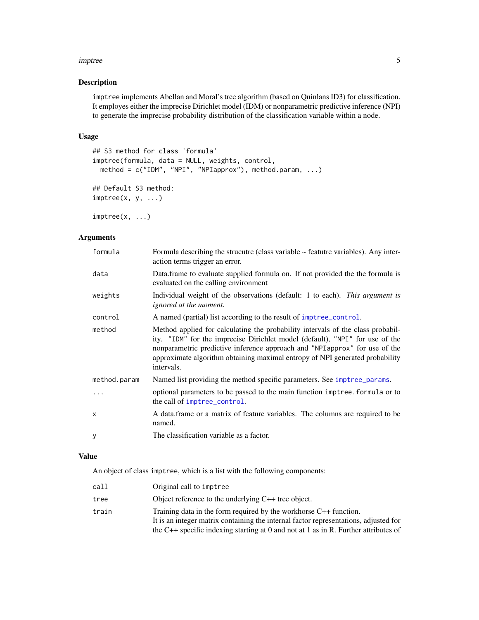#### <span id="page-4-0"></span>imptree 5

# Description

imptree implements Abellan and Moral's tree algorithm (based on Quinlans ID3) for classification. It employes either the imprecise Dirichlet model (IDM) or nonparametric predictive inference (NPI) to generate the imprecise probability distribution of the classification variable within a node.

# Usage

```
## S3 method for class 'formula'
imptree(formula, data = NULL, weights, control,
 method = c("IDM", "NPI", "NPIapprox"), method.param, ...)
## Default S3 method:
imptree(x, y, ...)
```
 $imptree(x, \ldots)$ 

# Arguments

| formula      | Formula describing the strucutre (class variable $\sim$ feature variables). Any inter-<br>action terms trigger an error.                                                                                                                                                                                                                     |
|--------------|----------------------------------------------------------------------------------------------------------------------------------------------------------------------------------------------------------------------------------------------------------------------------------------------------------------------------------------------|
| data         | Data.frame to evaluate supplied formula on. If not provided the the formula is<br>evaluated on the calling environment                                                                                                                                                                                                                       |
| weights      | Individual weight of the observations (default: 1 to each). This argument is<br>ignored at the moment.                                                                                                                                                                                                                                       |
| control      | A named (partial) list according to the result of imptree_control.                                                                                                                                                                                                                                                                           |
| method       | Method applied for calculating the probability intervals of the class probabil-<br>ity. "IDM" for the imprecise Dirichlet model (default), "NPI" for use of the<br>nonparametric predictive inference approach and "NPI approx" for use of the<br>approximate algorithm obtaining maximal entropy of NPI generated probability<br>intervals. |
| method.param | Named list providing the method specific parameters. See imptree_params.                                                                                                                                                                                                                                                                     |
| .            | optional parameters to be passed to the main function imptree. formula or to<br>the call of imptree_control.                                                                                                                                                                                                                                 |
| $\mathsf{x}$ | A data frame or a matrix of feature variables. The columns are required to be<br>named.                                                                                                                                                                                                                                                      |
| y            | The classification variable as a factor.                                                                                                                                                                                                                                                                                                     |

# Value

An object of class imptree, which is a list with the following components:

| call  | Original call to imptree                                                             |
|-------|--------------------------------------------------------------------------------------|
| tree  | Object reference to the underlying $C_{++}$ tree object.                             |
| train | Training data in the form required by the workhorse $C++$ function.                  |
|       | It is an integer matrix containing the internal factor representations, adjusted for |
|       | the C++ specific indexing starting at 0 and not at 1 as in R. Further attributes of  |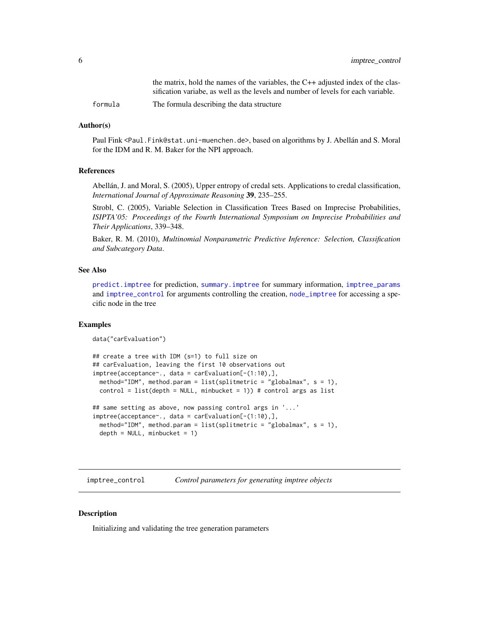<span id="page-5-0"></span>

|         | the matrix, hold the names of the variables, the $C++$ adjusted index of the clas- |
|---------|------------------------------------------------------------------------------------|
|         | sification variable, as well as the levels and number of levels for each variable. |
| formula | The formula describing the data structure                                          |

#### Author(s)

Paul Fink <Paul.Fink@stat.uni-muenchen.de>, based on algorithms by J. Abellán and S. Moral for the IDM and R. M. Baker for the NPI approach.

#### References

Abellán, J. and Moral, S. (2005), Upper entropy of credal sets. Applications to credal classification, *International Journal of Approximate Reasoning* 39, 235–255.

Strobl, C. (2005), Variable Selection in Classification Trees Based on Imprecise Probabilities, *ISIPTA'05: Proceedings of the Fourth International Symposium on Imprecise Probabilities and Their Applications*, 339–348.

Baker, R. M. (2010), *Multinomial Nonparametric Predictive Inference: Selection, Classification and Subcategory Data*.

# See Also

[predict.imptree](#page-8-1) for prediction, [summary.imptree](#page-13-1) for summary information, [imptree\\_params](#page-0-0) and [imptree\\_control](#page-5-1) for arguments controlling the creation, [node\\_imptree](#page-7-1) for accessing a specific node in the tree

#### Examples

```
data("carEvaluation")
```

```
## create a tree with IDM (s=1) to full size on
## carEvaluation, leaving the first 10 observations out
imptree(acceptance~., data = carEvaluation[-(1:10),],
 method="IDM", method.param = list(splitmetric = "globalmax", s = 1),
 control = list(depth = NULL, minbucket = 1)) # control args as list
```

```
## same setting as above, now passing control args in '...'
imptree(acceptance~., data = carEvaluation[-(1:10),],
 method="IDM", method.param = list(splitmetric = "globalmax", s = 1),
 depth = NULL, minbucket = 1)
```
<span id="page-5-1"></span>imptree\_control *Control parameters for generating imptree objects*

#### **Description**

Initializing and validating the tree generation parameters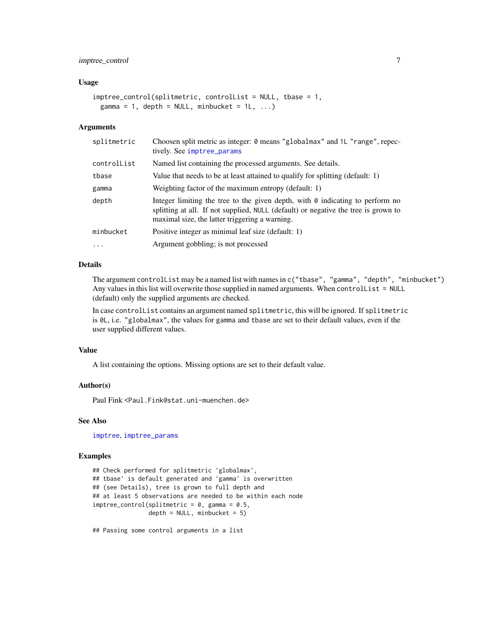# <span id="page-6-0"></span>imptree\_control 7

#### Usage

```
imptree_control(splitmetric, controlList = NULL, tbase = 1,
 gamma = 1, depth = NULL, minbucket = 1L, ...)
```
# Arguments

| splitmetric | Choosen split metric as integer: 0 means "globalmax" and 1L "range", repec-<br>tively. See imptree_params                                                                                                                    |
|-------------|------------------------------------------------------------------------------------------------------------------------------------------------------------------------------------------------------------------------------|
| controlList | Named list containing the processed arguments. See details.                                                                                                                                                                  |
| tbase       | Value that needs to be at least attained to qualify for splitting (default: 1)                                                                                                                                               |
| gamma       | Weighting factor of the maximum entropy (default: 1)                                                                                                                                                                         |
| depth       | Integer limiting the tree to the given depth, with $\theta$ indicating to perform no<br>splitting at all. If not supplied, NULL (default) or negative the tree is grown to<br>maximal size, the latter triggering a warning. |
| minbucket   | Positive integer as minimal leaf size (default: 1)                                                                                                                                                                           |
| $\cdots$    | Argument gobbling; is not processed                                                                                                                                                                                          |

### Details

The argument controlList may be a named list with names in c("tbase", "gamma", "depth", "minbucket") Any values in this list will overwrite those supplied in named arguments. When controlList = NULL (default) only the supplied arguments are checked.

In case controlList contains an argument named splitmetric, this will be ignored. If splitmetric is 0L, i.e. "globalmax", the values for gamma and tbase are set to their default values, even if the user supplied different values.

# Value

A list containing the options. Missing options are set to their default value.

# Author(s)

Paul Fink <Paul.Fink@stat.uni-muenchen.de>

# See Also

[imptree](#page-3-1), [imptree\\_params](#page-0-0)

#### Examples

```
## Check performed for splitmetric 'globalmax',
## tbase' is default generated and 'gamma' is overwritten
## (see Details), tree is grown to full depth and
## at least 5 observations are needed to be within each node
imptree\_control(splitmetric = 0, gamma = 0.5,depth = NULL, minbucket = 5)
```
## Passing some control arguments in a list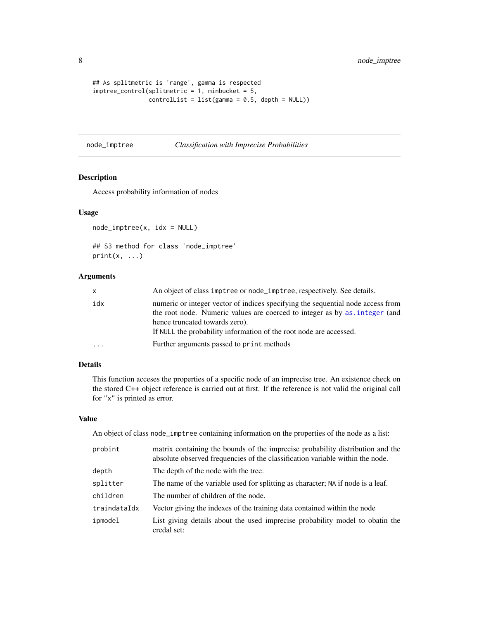```
## As splitmetric is 'range', gamma is respected
imptree_control(splitmetric = 1, minbucket = 5,
               controlList = list(gamma = 0.5, depth = NULL)
```
# <span id="page-7-1"></span>node\_imptree *Classification with Imprecise Probabilities*

# Description

Access probability information of nodes

#### Usage

node\_imptree(x, idx = NULL)

```
## S3 method for class 'node_imptree'
print(x, \ldots)
```
# Arguments

| X   | An object of class imptree or node_imptree, respectively. See details.                                                                                                                                                                                                |
|-----|-----------------------------------------------------------------------------------------------------------------------------------------------------------------------------------------------------------------------------------------------------------------------|
| idx | numeric or integer vector of indices specifying the sequential node access from<br>the root node. Numeric values are coerced to integer as by as integer (and<br>hence truncated towards zero).<br>If NULL the probability information of the root node are accessed. |
|     | Further arguments passed to print methods                                                                                                                                                                                                                             |

# Details

This function acceses the properties of a specific node of an imprecise tree. An existence check on the stored C++ object reference is carried out at first. If the reference is not valid the original call for "x" is printed as error.

#### Value

An object of class node\_imptree containing information on the properties of the node as a list:

| probint      | matrix containing the bounds of the imprecise probability distribution and the<br>absolute observed frequencies of the classification variable within the node. |
|--------------|-----------------------------------------------------------------------------------------------------------------------------------------------------------------|
| depth        | The depth of the node with the tree.                                                                                                                            |
| splitter     | The name of the variable used for splitting as character; NA if node is a leaf.                                                                                 |
| children     | The number of children of the node.                                                                                                                             |
| traindataIdx | Vector giving the indexes of the training data contained within the node                                                                                        |
| ipmodel      | List giving details about the used imprecise probability model to obatin the<br>credal set:                                                                     |

<span id="page-7-0"></span>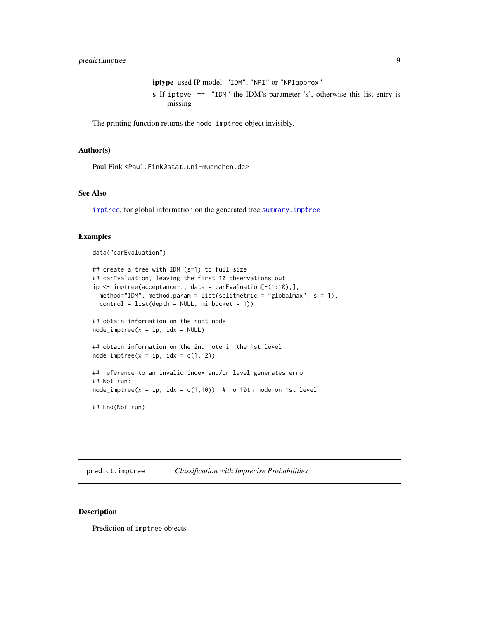iptype used IP model: "IDM", "NPI" or "NPIapprox" s If iptpye == "IDM" the IDM's parameter 's', otherwise this list entry is missing

<span id="page-8-0"></span>The printing function returns the node\_imptree object invisibly.

#### Author(s)

Paul Fink <Paul.Fink@stat.uni-muenchen.de>

# See Also

[imptree](#page-3-1), for global information on the generated tree [summary.imptree](#page-13-1)

# Examples

data("carEvaluation")

```
## create a tree with IDM (s=1) to full size
## carEvaluation, leaving the first 10 observations out
ip <- imptree(acceptance~., data = carEvaluation[-(1:10),],
 method="IDM", method.param = list(splitmetric = "globalmax", s = 1),
  control = list(depth = NULL, minbucket = 1))## obtain information on the root node
node\_imptree(x = ip, idx = NULL)## obtain information on the 2nd note in the 1st level
node\_imptree(x = ip, idx = c(1, 2))## reference to an invalid index and/or level generates error
## Not run:
node\_imptree(x = ip, idx = c(1,10)) # no 10th node on 1st level
## End(Not run)
```
<span id="page-8-1"></span>predict.imptree *Classification with Imprecise Probabilities*

# Description

Prediction of imptree objects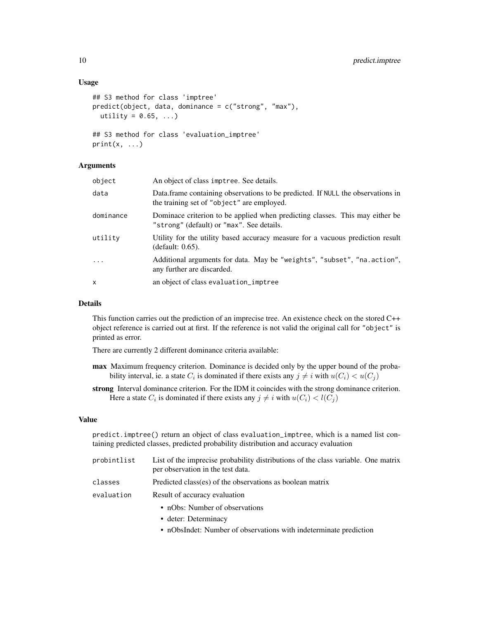# Usage

```
## S3 method for class 'imptree'
predict(object, data, dominance = c("strong", "max"),
 utility = 0.65, ...)
## S3 method for class 'evaluation_imptree'
print(x, \ldots)
```
#### **Arguments**

| object    | An object of class imptree. See details.                                                                                      |
|-----------|-------------------------------------------------------------------------------------------------------------------------------|
| data      | Data frame containing observations to be predicted. If NULL the observations in<br>the training set of "object" are employed. |
| dominance | Dominace criterion to be applied when predicting classes. This may either be<br>"strong" (default) or "max". See details.     |
| utilitv   | Utility for the utility based accuracy measure for a vacuous prediction result<br>(default: 0.65).                            |
| $\cdots$  | Additional arguments for data. May be "weights", "subset", "na.action",<br>any further are discarded.                         |
| x         | an object of class evaluation_imptree                                                                                         |
|           |                                                                                                                               |

#### Details

This function carries out the prediction of an imprecise tree. An existence check on the stored C++ object reference is carried out at first. If the reference is not valid the original call for "object" is printed as error.

There are currently 2 different dominance criteria available:

- max Maximum frequency criterion. Dominance is decided only by the upper bound of the probability interval, ie. a state  $C_i$  is dominated if there exists any  $j \neq i$  with  $u(C_i) < u(C_j)$
- strong Interval dominance criterion. For the IDM it coincides with the strong dominance criterion. Here a state  $C_i$  is dominated if there exists any  $j \neq i$  with  $u(C_i) < l(C_j)$

#### Value

predict.imptree() return an object of class evaluation\_imptree, which is a named list containing predicted classes, predicted probability distribution and accuracy evaluation

| List of the imprecise probability distributions of the class variable. One matrix |
|-----------------------------------------------------------------------------------|
|                                                                                   |
|                                                                                   |
|                                                                                   |

- nObs: Number of observations
- deter: Determinacy
- nObsIndet: Number of observations with indeterminate prediction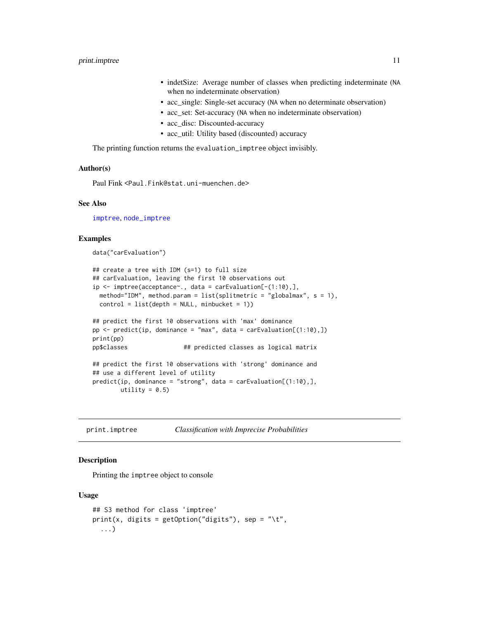# <span id="page-10-0"></span>print.imptree 11

- indetSize: Average number of classes when predicting indeterminate (NA when no indeterminate observation)
- acc\_single: Single-set accuracy (NA when no determinate observation)
- acc\_set: Set-accuracy (NA when no indeterminate observation)
- acc\_disc: Discounted-accuracy
- acc\_util: Utility based (discounted) accuracy

The printing function returns the evaluation\_imptree object invisibly.

# Author(s)

Paul Fink <Paul.Fink@stat.uni-muenchen.de>

# See Also

[imptree](#page-3-1), [node\\_imptree](#page-7-1)

# Examples

data("carEvaluation")

```
## create a tree with IDM (s=1) to full size
## carEvaluation, leaving the first 10 observations out
ip <- imptree(acceptance~., data = carEvaluation[-(1:10),],
 method="IDM", method.param = list(splitmetric = "globalmax", s = 1),
 control = list(depth = NULL, minbucket = 1))## predict the first 10 observations with 'max' dominance
pp \le - predict(ip, dominance = "max", data = carEvaluation[(1:10),])
print(pp)
pp$classes ## predicted classes as logical matrix
## predict the first 10 observations with 'strong' dominance and
## use a different level of utility
predict(ip, dominance = "strong", data = carEvaluation[(1:10),],utility = 0.5)
```
print.imptree *Classification with Imprecise Probabilities*

# Description

Printing the imptree object to console

#### Usage

```
## S3 method for class 'imptree'
print(x, \text{ digits} = getOption("digits"), sep = "\t",...)
```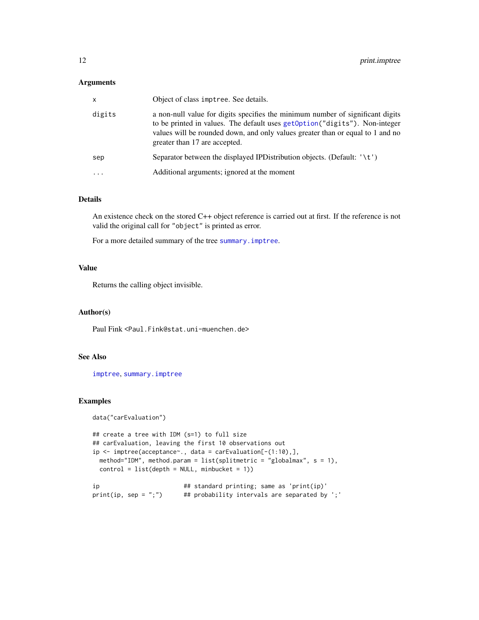# <span id="page-11-0"></span>Arguments

| $\mathsf{x}$            | Object of class imptree. See details.                                                                                                                                                                                                                                            |
|-------------------------|----------------------------------------------------------------------------------------------------------------------------------------------------------------------------------------------------------------------------------------------------------------------------------|
| digits                  | a non-null value for digits specifies the minimum number of significant digits<br>to be printed in values. The default uses getOption ("digits"). Non-integer<br>values will be rounded down, and only values greater than or equal to 1 and no<br>greater than 17 are accepted. |
| sep                     | Separator between the displayed IPD is tribution objects. (Default: $\langle t' \rangle$ )                                                                                                                                                                                       |
| $\cdot$ $\cdot$ $\cdot$ | Additional arguments; ignored at the moment                                                                                                                                                                                                                                      |
|                         |                                                                                                                                                                                                                                                                                  |

# Details

An existence check on the stored C++ object reference is carried out at first. If the reference is not valid the original call for "object" is printed as error.

For a more detailed summary of the tree [summary.imptree](#page-13-1).

# Value

Returns the calling object invisible.

# Author(s)

Paul Fink <Paul.Fink@stat.uni-muenchen.de>

# See Also

[imptree](#page-3-1), [summary.imptree](#page-13-1)

# Examples

data("carEvaluation")

```
## create a tree with IDM (s=1) to full size
## carEvaluation, leaving the first 10 observations out
ip <- imptree(acceptance~., data = carEvaluation[-(1:10),],
 method="IDM", method.param = list(splitmetric = "globalmax", s = 1),
 control = list(depth = NULL, minbucket = 1))ip # standard printing; same as 'print(ip)'
```

```
print(ip, sep = ";") # probability intervals are separated by ';'
```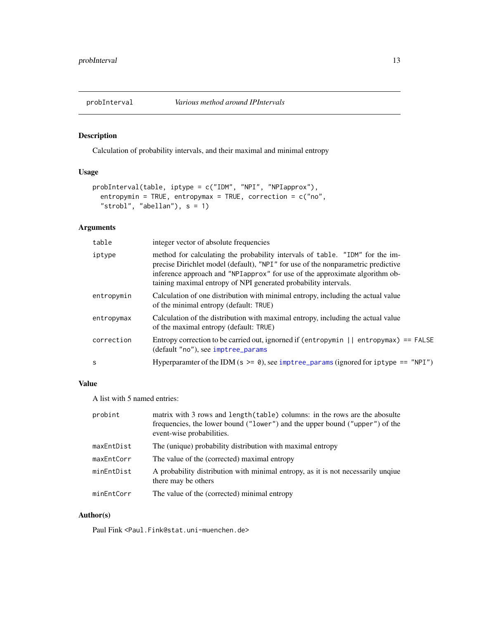<span id="page-12-1"></span><span id="page-12-0"></span>

# Description

Calculation of probability intervals, and their maximal and minimal entropy

# Usage

```
probInterval(table, iptype = c("IDM", "NPI", "NPIapprox"),
 entropymin = TRUE, entropymax = TRUE, correction = c("no",
  "strong", "abellan"), s = 1)
```
# Arguments

| table        | integer vector of absolute frequencies                                                                                                                                                                                                                                                                              |
|--------------|---------------------------------------------------------------------------------------------------------------------------------------------------------------------------------------------------------------------------------------------------------------------------------------------------------------------|
| iptype       | method for calculating the probability intervals of table. "IDM" for the im-<br>precise Dirichlet model (default), "NPI" for use of the nonparametric predictive<br>inference approach and "NPI approx" for use of the approximate algorithm ob-<br>taining maximal entropy of NPI generated probability intervals. |
| entropymin   | Calculation of one distribution with minimal entropy, including the actual value<br>of the minimal entropy (default: TRUE)                                                                                                                                                                                          |
| entropymax   | Calculation of the distribution with maximal entropy, including the actual value<br>of the maximal entropy (default: TRUE)                                                                                                                                                                                          |
| correction   | Entropy correction to be carried out, ignorned if (entropymin $  $ entropymax) == FALSE<br>(default "no"), see imptree_params                                                                                                                                                                                       |
| <sub>S</sub> | Hyperparamter of the IDM ( $s \ge 0$ ), see imptree_params (ignored for iptype == "NPI")                                                                                                                                                                                                                            |
|              |                                                                                                                                                                                                                                                                                                                     |

# Value

A list with 5 named entries:

| probint    | matrix with 3 rows and length (table) columns: in the rows are the abosulte<br>frequencies, the lower bound ("lower") and the upper bound ("upper") of the<br>event-wise probabilities. |
|------------|-----------------------------------------------------------------------------------------------------------------------------------------------------------------------------------------|
| maxEntDist | The (unique) probability distribution with maximal entropy                                                                                                                              |
| maxEntCorr | The value of the (corrected) maximal entropy                                                                                                                                            |
| minEntDist | A probability distribution with minimal entropy, as it is not necessarily unqiue<br>there may be others                                                                                 |
| minEntCorr | The value of the (corrected) minimal entropy                                                                                                                                            |

# Author(s)

Paul Fink <Paul.Fink@stat.uni-muenchen.de>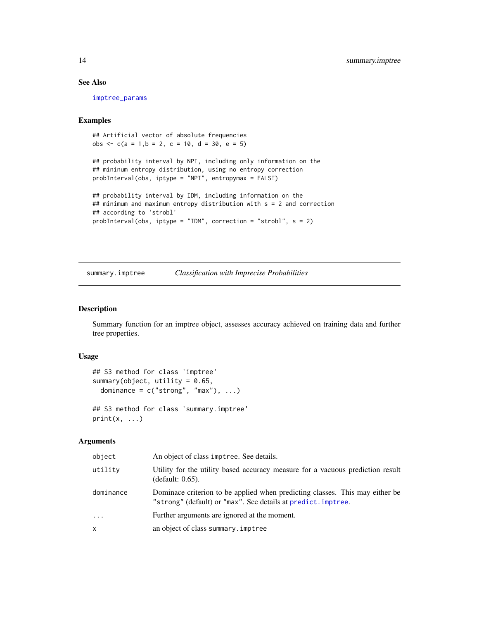# See Also

[imptree\\_params](#page-0-0)

# Examples

## Artificial vector of absolute frequencies obs <- c(a = 1,b = 2, c = 10, d = 30, e = 5)

```
## probability interval by NPI, including only information on the
## mininum entropy distribution, using no entropy correction
probInterval(obs, iptype = "NPI", entropymax = FALSE)
```

```
## probability interval by IDM, including information on the
## minimum and maximum entropy distribution with s = 2 and correction
## according to 'strobl'
probInterval(obs, iptype = "IDM", correction = "strobl", s = 2)
```
<span id="page-13-1"></span>summary.imptree *Classification with Imprecise Probabilities*

#### Description

Summary function for an imptree object, assesses accuracy achieved on training data and further tree properties.

#### Usage

```
## S3 method for class 'imptree'
summary(object, utility = 0.65,
 dominance = c("strong", "max"), ...)
## S3 method for class 'summary.imptree'
```
 $print(x, \ldots)$ 

#### Arguments

| object    | An object of class imptree. See details.                                                                                                      |
|-----------|-----------------------------------------------------------------------------------------------------------------------------------------------|
| utility   | Utility for the utility based accuracy measure for a vacuous prediction result<br>(default: 0.65).                                            |
| dominance | Dominace criterion to be applied when predicting classes. This may either be<br>"strong" (default) or "max". See details at predict. imptree. |
| $\cdots$  | Further arguments are ignored at the moment.                                                                                                  |
| X         | an object of class summary. imptree                                                                                                           |

<span id="page-13-0"></span>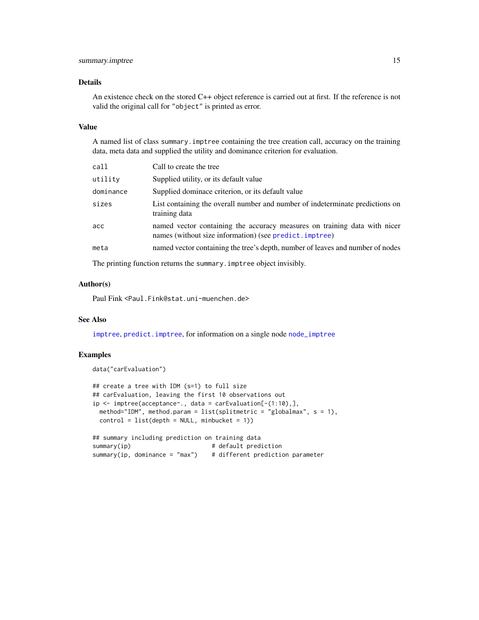# <span id="page-14-0"></span>summary.imptree 15

# Details

An existence check on the stored C++ object reference is carried out at first. If the reference is not valid the original call for "object" is printed as error.

#### Value

A named list of class summary.imptree containing the tree creation call, accuracy on the training data, meta data and supplied the utility and dominance criterion for evaluation.

| call      | Call to create the tree                                                                                                              |
|-----------|--------------------------------------------------------------------------------------------------------------------------------------|
| utility   | Supplied utility, or its default value                                                                                               |
| dominance | Supplied dominace criterion, or its default value                                                                                    |
| sizes     | List containing the overall number and number of indeterminate predictions on<br>training data                                       |
| acc       | named vector containing the accuracy measures on training data with nicer<br>names (without size information) (see predict. imptree) |
| meta      | named vector containing the tree's depth, number of leaves and number of nodes                                                       |

The printing function returns the summary.imptree object invisibly.

# Author(s)

Paul Fink <Paul.Fink@stat.uni-muenchen.de>

# See Also

[imptree](#page-3-1), [predict.imptree](#page-8-1), for information on a single node [node\\_imptree](#page-7-1)

# Examples

```
data("carEvaluation")
```

```
## create a tree with IDM (s=1) to full size
## carEvaluation, leaving the first 10 observations out
ip <- imptree(acceptance~., data = carEvaluation[-(1:10),],
 method="IDM", method.param = list(splitmetric = "globalmax", s = 1),
 control = list(depth = NULL, minbucket = 1)## summary including prediction on training data
summary(ip) \qquad # default prediction
```
summary(ip, dominance = "max") # different prediction parameter